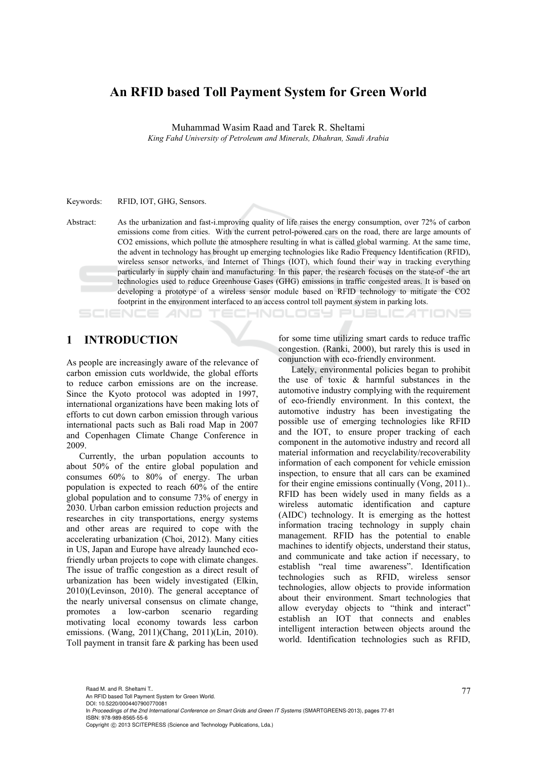## **An RFID based Toll Payment System for Green World**

Muhammad Wasim Raad and Tarek R. Sheltami

*King Fahd University of Petroleum and Minerals, Dhahran, Saudi Arabia* 

Keywords: RFID, IOT, GHG, Sensors.

Abstract: As the urbanization and fast-i.mproving quality of life raises the energy consumption, over 72% of carbon emissions come from cities. With the current petrol-powered cars on the road, there are large amounts of CO2 emissions, which pollute the atmosphere resulting in what is called global warming. At the same time, the advent in technology has brought up emerging technologies like Radio Frequency Identification (RFID), wireless sensor networks, and Internet of Things (IOT), which found their way in tracking everything particularly in supply chain and manufacturing. In this paper, the research focuses on the state-of -the art technologies used to reduce Greenhouse Gases (GHG) emissions in traffic congested areas. It is based on developing a prototype of a wireless sensor module based on RFID technology to mitigate the CO2 footprint in the environment interfaced to an access control toll payment system in parking lots.

CHNOLOGY PI

## **1 INTRODUCTION**

As people are increasingly aware of the relevance of carbon emission cuts worldwide, the global efforts to reduce carbon emissions are on the increase. Since the Kyoto protocol was adopted in 1997, international organizations have been making lots of efforts to cut down carbon emission through various international pacts such as Bali road Map in 2007 and Copenhagen Climate Change Conference in 2009.

Currently, the urban population accounts to about 50% of the entire global population and consumes 60% to 80% of energy. The urban population is expected to reach 60% of the entire global population and to consume 73% of energy in 2030. Urban carbon emission reduction projects and researches in city transportations, energy systems and other areas are required to cope with the accelerating urbanization (Choi, 2012). Many cities in US, Japan and Europe have already launched ecofriendly urban projects to cope with climate changes. The issue of traffic congestion as a direct result of urbanization has been widely investigated (Elkin, 2010)(Levinson, 2010). The general acceptance of the nearly universal consensus on climate change, promotes a low-carbon scenario regarding motivating local economy towards less carbon emissions. (Wang, 2011)(Chang, 2011)(Lin, 2010). Toll payment in transit fare & parking has been used

for some time utilizing smart cards to reduce traffic congestion. (Ranki, 2000), but rarely this is used in conjunction with eco-friendly environment.

**JBLICATIONS** 

Lately, environmental policies began to prohibit the use of toxic & harmful substances in the automotive industry complying with the requirement of eco-friendly environment. In this context, the automotive industry has been investigating the possible use of emerging technologies like RFID and the IOT, to ensure proper tracking of each component in the automotive industry and record all material information and recyclability/recoverability information of each component for vehicle emission inspection, to ensure that all cars can be examined for their engine emissions continually (Vong, 2011).. RFID has been widely used in many fields as a wireless automatic identification and capture (AIDC) technology. It is emerging as the hottest information tracing technology in supply chain management. RFID has the potential to enable machines to identify objects, understand their status, and communicate and take action if necessary, to establish "real time awareness". Identification technologies such as RFID, wireless sensor technologies, allow objects to provide information about their environment. Smart technologies that allow everyday objects to "think and interact" establish an IOT that connects and enables intelligent interaction between objects around the world. Identification technologies such as RFID,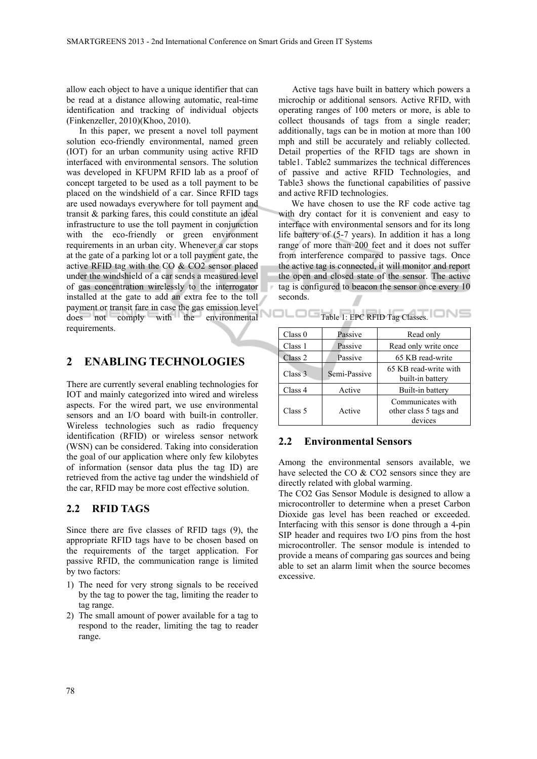allow each object to have a unique identifier that can be read at a distance allowing automatic, real-time identification and tracking of individual objects (Finkenzeller, 2010)(Khoo, 2010).

In this paper, we present a novel toll payment solution eco-friendly environmental, named green (IOT) for an urban community using active RFID interfaced with environmental sensors. The solution was developed in KFUPM RFID lab as a proof of concept targeted to be used as a toll payment to be placed on the windshield of a car. Since RFID tags are used nowadays everywhere for toll payment and transit & parking fares, this could constitute an ideal infrastructure to use the toll payment in conjunction with the eco-friendly or green environment requirements in an urban city. Whenever a car stops at the gate of a parking lot or a toll payment gate, the active RFID tag with the CO & CO2 sensor placed under the windshield of a car sends a measured level of gas concentration wirelessly to the interrogator installed at the gate to add an extra fee to the toll payment or transit fare in case the gas emission level does not comply with the environmental requirements.

## **2 ENABLING TECHNOLOGIES**

There are currently several enabling technologies for IOT and mainly categorized into wired and wireless aspects. For the wired part, we use environmental sensors and an I/O board with built-in controller. Wireless technologies such as radio frequency identification (RFID) or wireless sensor network (WSN) can be considered. Taking into consideration the goal of our application where only few kilobytes of information (sensor data plus the tag ID) are retrieved from the active tag under the windshield of the car, RFID may be more cost effective solution.

### **2.2 RFID TAGS**

Since there are five classes of RFID tags (9), the appropriate RFID tags have to be chosen based on the requirements of the target application. For passive RFID, the communication range is limited by two factors:

- 1) The need for very strong signals to be received by the tag to power the tag, limiting the reader to tag range.
- 2) The small amount of power available for a tag to respond to the reader, limiting the tag to reader range.

Active tags have built in battery which powers a microchip or additional sensors. Active RFID, with operating ranges of 100 meters or more, is able to collect thousands of tags from a single reader; additionally, tags can be in motion at more than 100 mph and still be accurately and reliably collected. Detail properties of the RFID tags are shown in table1. Table2 summarizes the technical differences of passive and active RFID Technologies, and Table3 shows the functional capabilities of passive and active RFID technologies.

We have chosen to use the RF code active tag with dry contact for it is convenient and easy to interface with environmental sensors and for its long life battery of (5-7 years). In addition it has a long range of more than 200 feet and it does not suffer from interference compared to passive tags. Once the active tag is connected, it will monitor and report the open and closed state of the sensor. The active tag is configured to beacon the sensor once every 10 seconds.

Table 1: EPC RFID Tag Classes.

| Class 0 | Passive      | Read only                                              |  |
|---------|--------------|--------------------------------------------------------|--|
| Class 1 | Passive      | Read only write once                                   |  |
| Class 2 | Passive      | 65 KB read-write                                       |  |
| Class 3 | Semi-Passive | 65 KB read-write with<br>built-in battery              |  |
| Class 4 | Active       | Built-in battery                                       |  |
| Class 5 | Active       | Communicates with<br>other class 5 tags and<br>devices |  |

### **2.2 Environmental Sensors**

Among the environmental sensors available, we have selected the CO & CO2 sensors since they are directly related with global warming.

The CO2 Gas Sensor Module is designed to allow a microcontroller to determine when a preset Carbon Dioxide gas level has been reached or exceeded. Interfacing with this sensor is done through a 4-pin SIP header and requires two I/O pins from the host microcontroller. The sensor module is intended to provide a means of comparing gas sources and being able to set an alarm limit when the source becomes excessive.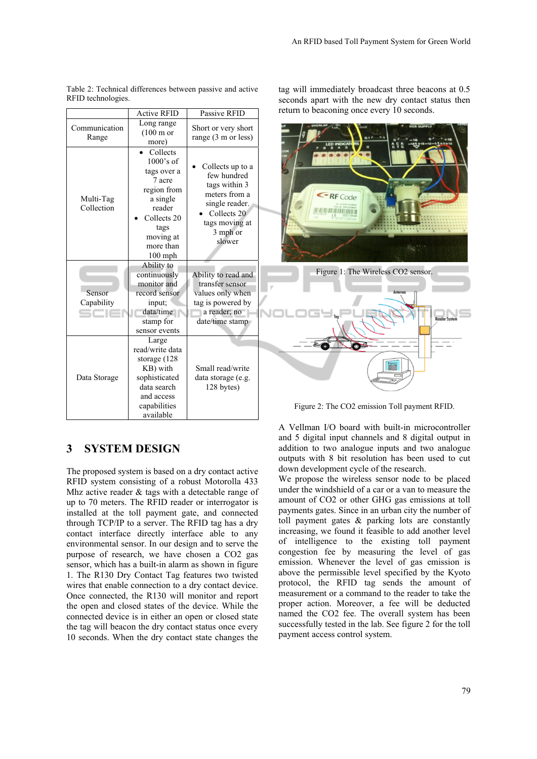|                         | <b>Active RFID</b>                                                                                                                                   | Passive RFID                                                                                                                               | return |
|-------------------------|------------------------------------------------------------------------------------------------------------------------------------------------------|--------------------------------------------------------------------------------------------------------------------------------------------|--------|
| Communication<br>Range  | Long range<br>$(100 \text{ m or }$<br>more)                                                                                                          | Short or very short<br>range (3 m or less)                                                                                                 |        |
| Multi-Tag<br>Collection | Collects<br>$1000$ 's of<br>tags over a<br>7 acre<br>region from<br>a single<br>reader<br>Collects 20<br>tags<br>moving at<br>more than<br>$100$ mph | Collects up to a<br>few hundred<br>tags within 3<br>meters from a<br>single reader.<br>Collects 20<br>tags moving at<br>3 mph or<br>slower |        |
| Sensor<br>Capability    | Ability to<br>continuously<br>monitor and<br>record sensor<br>input;<br>data/time<br>stamp for<br>sensor events                                      | Ability to read and<br>transfer sensor<br>values only when<br>tag is powered by<br>a reader; no<br>date/time stamp                         |        |
| Data Storage            | Large<br>read/write data<br>storage (128<br>KB) with<br>sophisticated<br>data search<br>and access<br>capabilities<br>available                      | Small read/write<br>data storage (e.g.<br>128 bytes)                                                                                       | Fig    |

Table 2: Technical differences between passive and active RFID technologies.

# seconds apart with the new dry contact status then to beaconing once every 10 seconds.

tag will immediately broadcast three beacons at 0.5

**ERF** Code **THE TERRET AND THE TERRET** Figure 1: The Wireless CO2 sensor.

#### zure 2: The CO2 emission Toll payment RFID.

## **3 SYSTEM DESIGN**

The proposed system is based on a dry contact active RFID system consisting of a robust Motorolla 433 Mhz active reader & tags with a detectable range of up to 70 meters. The RFID reader or interrogator is installed at the toll payment gate, and connected through TCP/IP to a server. The RFID tag has a dry contact interface directly interface able to any environmental sensor. In our design and to serve the purpose of research, we have chosen a CO2 gas sensor, which has a built-in alarm as shown in figure 1. The R130 Dry Contact Tag features two twisted wires that enable connection to a dry contact device. Once connected, the R130 will monitor and report the open and closed states of the device. While the connected device is in either an open or closed state the tag will beacon the dry contact status once every 10 seconds. When the dry contact state changes the

A Vellman I/O board with built-in microcontroller and 5 digital input channels and 8 digital output in addition to two analogue inputs and two analogue outputs with 8 bit resolution has been used to cut down development cycle of the research.

We propose the wireless sensor node to be placed under the windshield of a car or a van to measure the amount of CO2 or other GHG gas emissions at toll payments gates. Since in an urban city the number of toll payment gates & parking lots are constantly increasing, we found it feasible to add another level of intelligence to the existing toll payment congestion fee by measuring the level of gas emission. Whenever the level of gas emission is above the permissible level specified by the Kyoto protocol, the RFID tag sends the amount of measurement or a command to the reader to take the proper action. Moreover, a fee will be deducted named the CO2 fee. The overall system has been successfully tested in the lab. See figure 2 for the toll payment access control system.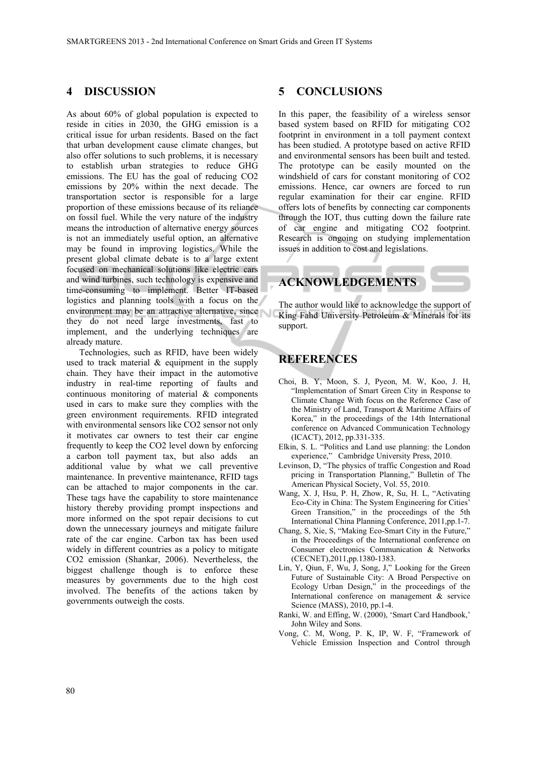### **4 DISCUSSION**

As about 60% of global population is expected to reside in cities in 2030, the GHG emission is a critical issue for urban residents. Based on the fact that urban development cause climate changes, but also offer solutions to such problems, it is necessary to establish urban strategies to reduce GHG emissions. The EU has the goal of reducing CO2 emissions by 20% within the next decade. The transportation sector is responsible for a large proportion of these emissions because of its reliance on fossil fuel. While the very nature of the industry means the introduction of alternative energy sources is not an immediately useful option, an alternative may be found in improving logistics. While the present global climate debate is to a large extent focused on mechanical solutions like electric cars and wind turbines, such technology is expensive and time-consuming to implement. Better IT-based logistics and planning tools with a focus on the environment may be an attractive alternative, since they do not need large investments, fast to implement, and the underlying techniques are already mature.

Technologies, such as RFID, have been widely used to track material & equipment in the supply chain. They have their impact in the automotive industry in real-time reporting of faults and continuous monitoring of material & components used in cars to make sure they complies with the green environment requirements. RFID integrated with environmental sensors like CO2 sensor not only it motivates car owners to test their car engine frequently to keep the CO2 level down by enforcing a carbon toll payment tax, but also adds an additional value by what we call preventive maintenance. In preventive maintenance, RFID tags can be attached to major components in the car. These tags have the capability to store maintenance history thereby providing prompt inspections and more informed on the spot repair decisions to cut down the unnecessary journeys and mitigate failure rate of the car engine. Carbon tax has been used widely in different countries as a policy to mitigate CO2 emission (Shankar, 2006). Nevertheless, the biggest challenge though is to enforce these measures by governments due to the high cost involved. The benefits of the actions taken by governments outweigh the costs.

### **5 CONCLUSIONS**

In this paper, the feasibility of a wireless sensor based system based on RFID for mitigating CO2 footprint in environment in a toll payment context has been studied. A prototype based on active RFID and environmental sensors has been built and tested. The prototype can be easily mounted on the windshield of cars for constant monitoring of CO2 emissions. Hence, car owners are forced to run regular examination for their car engine. RFID offers lots of benefits by connecting car components through the IOT, thus cutting down the failure rate of car engine and mitigating CO2 footprint. Research is ongoing on studying implementation issues in addition to cost and legislations.

## **ACKNOWLEDGEMENTS**

The author would like to acknowledge the support of King Fahd University Petroleum & Minerals for its support.

## **REFERENCES**

- Choi, B. Y, Moon, S. J, Pyeon, M. W, Koo, J. H, "Implementation of Smart Green City in Response to Climate Change With focus on the Reference Case of the Ministry of Land, Transport & Maritime Affairs of Korea," in the proceedings of the 14th International conference on Advanced Communication Technology (ICACT), 2012, pp.331-335.
- Elkin, S. L. "Politics and Land use planning: the London experience," Cambridge University Press, 2010.
- Levinson, D, "The physics of traffic Congestion and Road pricing in Transportation Planning," Bulletin of The American Physical Society, Vol. 55, 2010.
- Wang, X. J, Hsu, P. H, Zhow, R, Su, H. L, "Activating Eco-City in China: The System Engineering for Cities' Green Transition," in the proceedings of the 5th International China Planning Conference, 2011,pp.1-7.
- Chang, S, Xie, S, "Making Eco-Smart City in the Future," in the Proceedings of the International conference on Consumer electronics Communication & Networks (CECNET),2011,pp.1380-1383.
- Lin, Y, Qiun, F, Wu, J, Song, J," Looking for the Green Future of Sustainable City: A Broad Perspective on Ecology Urban Design," in the proceedings of the International conference on management & service Science (MASS), 2010, pp.1-4.
- Ranki, W. and Effing, W. (2000), 'Smart Card Handbook,' John Wiley and Sons.
- Vong, C. M, Wong, P. K, IP, W. F, "Framework of Vehicle Emission Inspection and Control through